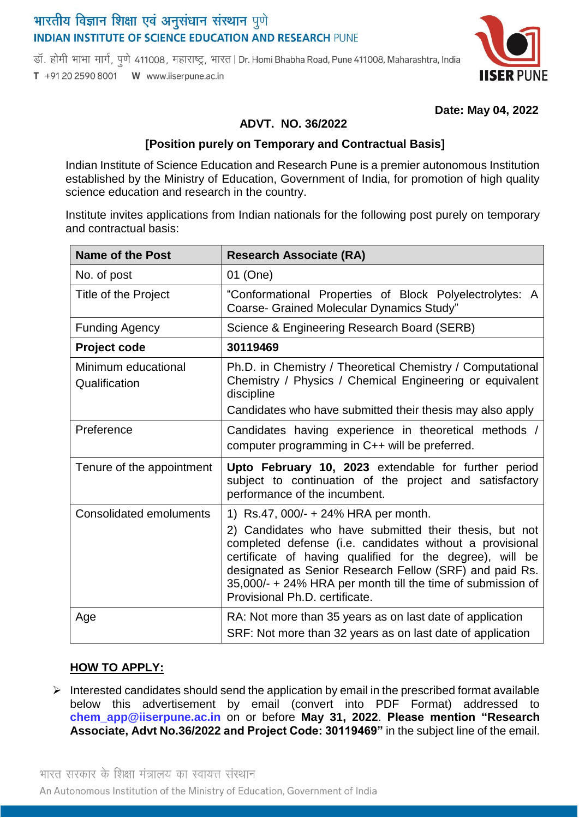# भारतीय विज्ञान शिक्षा एवं अनुसंधान संस्थान पुणे **INDIAN INSTITUTE OF SCIENCE EDUCATION AND RESEARCH PUNE**

डॉ. होमी भाभा मार्ग, पुणे 411008, महाराष्ट्र, भारत | Dr. Homi Bhabha Road, Pune 411008, Maharashtra, India

T +91 20 2590 8001 W www.iiserpune.ac.in



 **Date: May 04, 2022**

### **ADVT. NO. 36/2022**

#### **[Position purely on Temporary and Contractual Basis]**

Indian Institute of Science Education and Research Pune is a premier autonomous Institution established by the Ministry of Education, Government of India, for promotion of high quality science education and research in the country.

Institute invites applications from Indian nationals for the following post purely on temporary and contractual basis:

| <b>Name of the Post</b>              | <b>Research Associate (RA)</b>                                                                                                                                                                                                                                                                                                                                                     |
|--------------------------------------|------------------------------------------------------------------------------------------------------------------------------------------------------------------------------------------------------------------------------------------------------------------------------------------------------------------------------------------------------------------------------------|
| No. of post                          | 01 (One)                                                                                                                                                                                                                                                                                                                                                                           |
| Title of the Project                 | "Conformational Properties of Block Polyelectrolytes: A<br><b>Coarse- Grained Molecular Dynamics Study"</b>                                                                                                                                                                                                                                                                        |
| <b>Funding Agency</b>                | Science & Engineering Research Board (SERB)                                                                                                                                                                                                                                                                                                                                        |
| Project code                         | 30119469                                                                                                                                                                                                                                                                                                                                                                           |
| Minimum educational<br>Qualification | Ph.D. in Chemistry / Theoretical Chemistry / Computational<br>Chemistry / Physics / Chemical Engineering or equivalent<br>discipline<br>Candidates who have submitted their thesis may also apply                                                                                                                                                                                  |
| Preference                           | Candidates having experience in theoretical methods /<br>computer programming in C++ will be preferred.                                                                                                                                                                                                                                                                            |
| Tenure of the appointment            | Upto February 10, 2023 extendable for further period<br>subject to continuation of the project and satisfactory<br>performance of the incumbent.                                                                                                                                                                                                                                   |
| <b>Consolidated emoluments</b>       | 1) Rs.47, 000/- + 24% HRA per month.<br>2) Candidates who have submitted their thesis, but not<br>completed defense (i.e. candidates without a provisional<br>certificate of having qualified for the degree), will be<br>designated as Senior Research Fellow (SRF) and paid Rs.<br>35,000/- + 24% HRA per month till the time of submission of<br>Provisional Ph.D. certificate. |
| Age                                  | RA: Not more than 35 years as on last date of application<br>SRF: Not more than 32 years as on last date of application                                                                                                                                                                                                                                                            |

#### **HOW TO APPLY:**

 $\triangleright$  Interested candidates should send the application by email in the prescribed format available below this advertisement by email (convert into PDF Format) addressed to **chem\_app@iiserpune.ac.in** on or before **May 31, 2022**. **Please mention "Research Associate, Advt No.36/2022 and Project Code: 30119469"** in the subject line of the email.